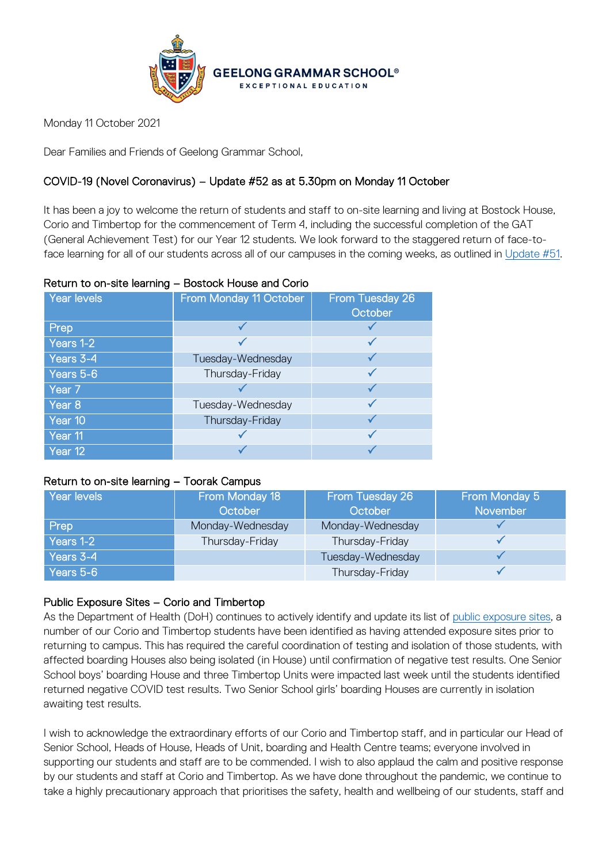

Monday 11 October 2021

Dear Families and Friends of Geelong Grammar School,

# COVID-19 (Novel Coronavirus) – Update #52 as at 5.30pm on Monday 11 October

It has been a joy to welcome the return of students and staff to on-site learning and living at Bostock House, Corio and Timbertop for the commencement of Term 4, including the successful completion of the GAT (General Achievement Test) for our Year 12 students. We look forward to the staggered return of face-toface learning for all of our students across all of our campuses in the coming weeks, as outlined in [Update #51.](https://www.ggs.vic.edu.au/ArticleDocuments/1007/Coronavirus%20Update%2051_300921.pdf.aspx)

### Return to on-site learning – Bostock House and Corio

| Year levels | From Monday 11 October | From Tuesday 26<br>October |
|-------------|------------------------|----------------------------|
| Prep        |                        |                            |
| Years 1-2   |                        |                            |
| Years 3-4   | Tuesday-Wednesday      |                            |
| Years 5-6   | Thursday-Friday        |                            |
| Year 7      |                        |                            |
| Year 8      | Tuesday-Wednesday      |                            |
| Year 10     | Thursday-Friday        |                            |
| Year 11     |                        |                            |
| Year 12     |                        |                            |

#### Return to on-site learning – Toorak Campus

| Year levels | From Monday 18<br>October | From Tuesday 26<br>October | From Monday 5<br>November |
|-------------|---------------------------|----------------------------|---------------------------|
| Prep        | Monday-Wednesday          | Monday-Wednesday           |                           |
| Years 1-2   | Thursday-Friday           | Thursday-Friday            |                           |
| Years 3-4   |                           | Tuesday-Wednesday          |                           |
| Years 5-6   |                           | Thursday-Friday            |                           |

## Public Exposure Sites – Corio and Timbertop

As the Department of Health (DoH) continues to actively identify and update its list of [public exposure sites,](https://www.coronavirus.vic.gov.au/exposure-sites) a number of our Corio and Timbertop students have been identified as having attended exposure sites prior to returning to campus. This has required the careful coordination of testing and isolation of those students, with affected boarding Houses also being isolated (in House) until confirmation of negative test results. One Senior School boys' boarding House and three Timbertop Units were impacted last week until the students identified returned negative COVID test results. Two Senior School girls' boarding Houses are currently in isolation awaiting test results.

I wish to acknowledge the extraordinary efforts of our Corio and Timbertop staff, and in particular our Head of Senior School, Heads of House, Heads of Unit, boarding and Health Centre teams; everyone involved in supporting our students and staff are to be commended. I wish to also applaud the calm and positive response by our students and staff at Corio and Timbertop. As we have done throughout the pandemic, we continue to take a highly precautionary approach that prioritises the safety, health and wellbeing of our students, staff and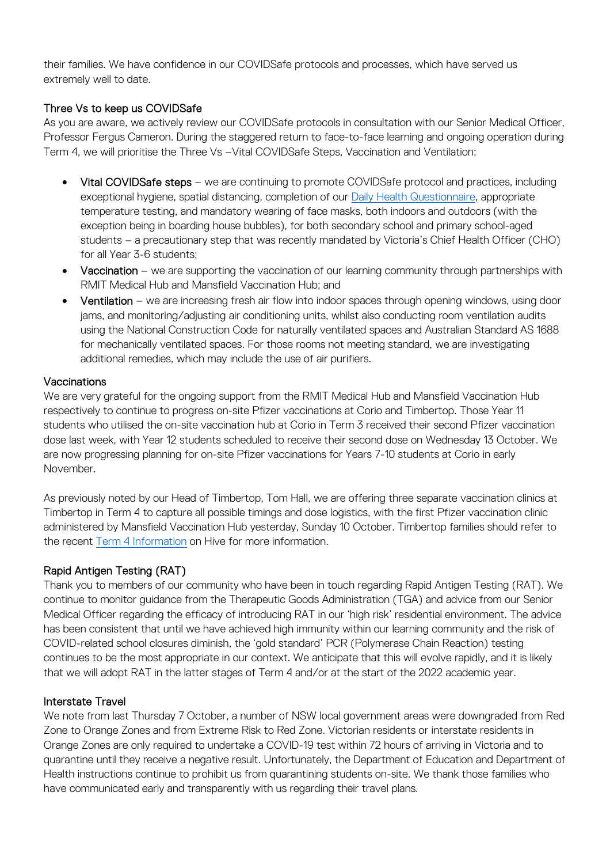their families. We have confidence in our COVIDSafe protocols and processes, which have served us extremely well to date.

## Three Vs to keep us COVIDSafe

As you are aware, we actively review our COVIDSafe protocols in consultation with our Senior Medical Officer, Professor Fergus Cameron. During the staggered return to face-to-face learning and ongoing operation during Term 4, we will prioritise the Three Vs –Vital COVIDSafe Steps, Vaccination and Ventilation:

- Vital COVIDSafe steps we are continuing to promote COVIDSafe protocol and practices, including exceptional hygiene, spatial distancing, completion of our [Daily Health Questionnaire,](https://forms.office.com/Pages/ResponsePage.aspx?id=ELu_KfmYBkWxD1P2rSx8Ev-kTHtY0BRDgodmf5vZO-ZUMlA3SjBJOTlGTENIQk5aVjlRMFdIMTZCQS4u&wdLOR=c6ADEBC50-953A-40B2-8789-919A85C6009F) appropriate temperature testing, and mandatory wearing of face masks, both indoors and outdoors (with the exception being in boarding house bubbles), for both secondary school and primary school-aged students – a precautionary step that was recently mandated by Victoria's Chief Health Officer (CHO) for all Year 3-6 students;
- Vaccination we are supporting the vaccination of our learning community through partnerships with RMIT Medical Hub and Mansfield Vaccination Hub; and
- Ventilation we are increasing fresh air flow into indoor spaces through opening windows, using door jams, and monitoring/adjusting air conditioning units, whilst also conducting room ventilation audits using the National Construction Code for naturally ventilated spaces and Australian Standard AS 1688 for mechanically ventilated spaces. For those rooms not meeting standard, we are investigating additional remedies, which may include the use of air purifiers.

### **Vaccinations**

We are very grateful for the ongoing support from the RMIT Medical Hub and Mansfield Vaccination Hub respectively to continue to progress on-site Pfizer vaccinations at Corio and Timbertop. Those Year 11 students who utilised the on-site vaccination hub at Corio in Term 3 received their second Pfizer vaccination dose last week, with Year 12 students scheduled to receive their second dose on Wednesday 13 October. We are now progressing planning for on-site Pfizer vaccinations for Years 7-10 students at Corio in early November.

As previously noted by our Head of Timbertop, Tom Hall, we are offering three separate vaccination clinics at Timbertop in Term 4 to capture all possible timings and dose logistics, with the first Pfizer vaccination clinic administered by Mansfield Vaccination Hub yesterday, Sunday 10 October. Timbertop families should refer to the recent [Term 4 Information](https://hive.ggs.vic.edu.au/news/2599) on Hive for more information.

# Rapid Antigen Testing (RAT)

Thank you to members of our community who have been in touch regarding Rapid Antigen Testing (RAT). We continue to monitor guidance from the Therapeutic Goods Administration (TGA) and advice from our Senior Medical Officer regarding the efficacy of introducing RAT in our 'high risk' residential environment. The advice has been consistent that until we have achieved high immunity within our learning community and the risk of COVID-related school closures diminish, the 'gold standard' PCR (Polymerase Chain Reaction) testing continues to be the most appropriate in our context. We anticipate that this will evolve rapidly, and it is likely that we will adopt RAT in the latter stages of Term 4 and/or at the start of the 2022 academic year.

## Interstate Travel

We note from last Thursday 7 October, a number of NSW local government areas were downgraded from Red Zone to Orange Zones and from Extreme Risk to Red Zone. Victorian residents or interstate residents in Orange Zones are only required to undertake a COVID-19 test within 72 hours of arriving in Victoria and to quarantine until they receive a negative result. Unfortunately, the Department of Education and Department of Health instructions continue to prohibit us from quarantining students on-site. We thank those families who have communicated early and transparently with us regarding their travel plans.